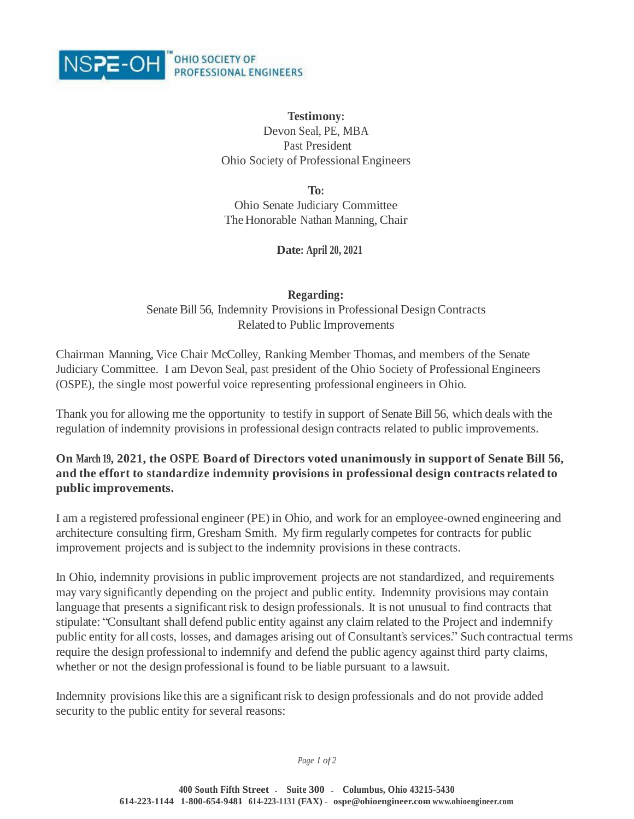

## **Testimony:**

Devon Seal, PE, MBA Past President Ohio Society of Professional Engineers

**To:**

Ohio Senate Judiciary Committee The Honorable Nathan Manning, Chair

**Date: April 20, 2021**

**Regarding:** Senate Bill 56, Indemnity Provisions in Professional Design Contracts Related to Public Improvements

Chairman Manning, Vice Chair McColley, Ranking Member Thomas, and members of the Senate Judiciary Committee. I am Devon Seal, past president of the Ohio Society of Professional Engineers (OSPE), the single most powerful voice representing professional engineers in Ohio.

Thank you for allowing me the opportunity to testify in support of Senate Bill 56, which deals with the regulation of indemnity provisions in professional design contracts related to public improvements.

## **On March 19, 2021, the OSPE Board of Directors voted unanimously in support of Senate Bill 56, and the effort to standardize indemnity provisions in professional design contracts related to public improvements.**

I am a registered professional engineer (PE) in Ohio, and work for an employee-owned engineering and architecture consulting firm, Gresham Smith. My firm regularly competes for contracts for public improvement projects and issubject to the indemnity provisions in these contracts.

In Ohio, indemnity provisions in public improvement projects are not standardized, and requirements may vary significantly depending on the project and public entity. Indemnity provisions may contain language that presents a significant risk to design professionals. It is not unusual to find contracts that stipulate: "Consultant shall defend public entity against any claim related to the Project and indemnify public entity for all costs, losses, and damages arising out of Consultant's services." Such contractual terms require the design professional to indemnify and defend the public agency against third party claims, whether or not the design professional is found to be liable pursuant to a lawsuit.

Indemnity provisions like this are a significant risk to design professionals and do not provide added security to the public entity for several reasons:

*Page 1 of 2*